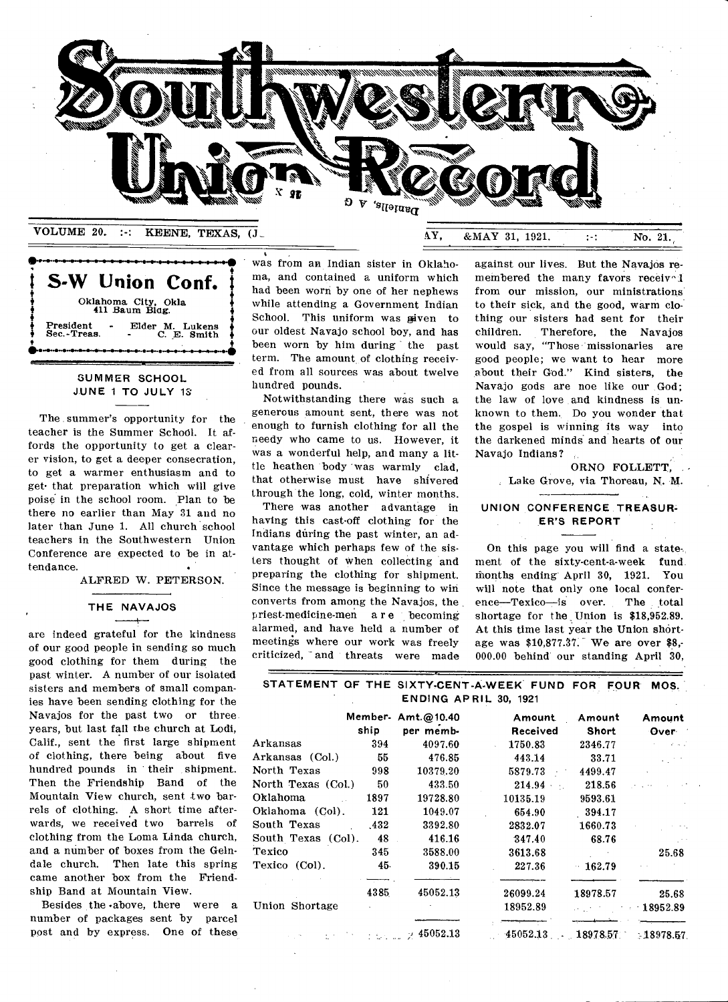



### **SUMMER SCHOOL JUNE 1 TO JULY 13**

The summer's opportunity for the teacher is the Summer School. It affords the opportunity to get a clearer vision, to get a deeper consecration, to get a warmer enthusiasm and to get• that preparation which will give poise in the school room. Plan to be there no earlier than May 31 and no later than June 1. All church school teachers in the Southwestern Union Conference are expected to be in attendance.

ALFRED W. PETERSON.

### **THE NAVAJOS**   $\frac{1}{2}$

are indeed grateful for the kindness of our good people in sending so much good clothing for them during the past winter. A number of our isolated sisters and members of small companies have been sending clothing for the Navajos for the past two or three years, but last fall the church at Lodi, Calif., sent the first large shipment of clothing, there being about five hundred pounds in their shipment. Then the Friendship Band of the Mountain View church, sent two barrels of clothing. A short time afterwards, we received two barrels of clothing from the Loma Linda church, and a number of boxes from the Gelndale church. Then late this spring came another box from the Friendship Band at Mountain View.

Besides the •above, there were a number of packages sent by parcel post and by express. One of these

was from an Indian sister in Oklahoma, and contained a uniform which had been worn by one of her nephews while attending a Government Indian School. This uniform was given to our oldest Navajo school boy, and has been worn by him during the past term. The amount of clothing received from all sources was about twelve hundred pounds.

Notwithstanding there was such a generous amount sent, there was not enough to furnish clothing for all the needy who came to us. However, it was a wonderful help, and many a little heathen body 'was warmly clad, that otherwise must have shivered through the long, cold, winter months.

There was another advantage in having this cast-off clothing for the Indians during the past winter, an advantage which perhaps few of the sisters thought of when collecting and preparing the clothing for shipment. Since the message is beginning to win converts from among the Navajos, the priest-medicine-men are becoming alarmed, and have held a number of meetings where our work was freely criticized, and threats were made

against our lives. But the Navajos remembered the many favors receiv<sup>-1</sup> from our mission, our ministrations to their sick, and the good, warm clothing our sisters had sent for their<br>children. Therefore, the Navajos Therefore, the Navajos would say, "Those missionaries are good people; we want to hear more about their God." Kind sisters, the Navajo gods are noe like our God; the law of love and kindness is unknown to them. Do you wonder that the gospel is winning its way into the darkened minds and hearts of our Navajo Indians?

> ORNO FOLLETT. Lake Grove, via Thoreau, N. M.

### **UNION CONFERENCE TREASUR-ER'S REPORT**

On this page you will find a statement of the sixty-cent-a-week **fund**. months ending April 30, 1921. You will note that only one local conference-Texico-is over. The total shortage for the Union is \$18,952.89. At this time last year the Union shortage was \$10,877.37. We are over \$8,-000.00 behind our standing April 30,

**STATEMENT OF THE SIXTY-CENT -A-WEEK FUND FOR FOUR MOS. ENDING AP RIL 30, 1921** 

|                    |      | Member- Amt.@10.40          | Amount   | Amount            | Amount      |
|--------------------|------|-----------------------------|----------|-------------------|-------------|
|                    | ship | per memb-                   | Received | <b>Short</b>      | ⊙ver⊹       |
| Arkansas           | 394  | 4097.60                     | 1750.83  | 2346.77           | e a d       |
| Arkansas (Col.)    | 55   | 476.85                      | 443.14   | 33.71             |             |
| North Texas        | 998  | 10379.20                    | 5879.73  | 4499.47           |             |
| North Texas (Col.) | 50   | 433.50                      | 214.94   | 218.56            |             |
| Oklahoma           | 1897 | 19728.80                    | 10135.19 | 9593.61           |             |
| Oklahoma (Col).    | 121  | 1049.07                     | 654.90   | 394.17            |             |
| South Texas        | .432 | 3392.80                     | 2832.07  | 1660.73           |             |
| South Texas (Col). | 48   | 416.16                      | 347.40   | 68.76             |             |
| Texico             | 345  | 3588.00                     | 3613.68  |                   | 25.68       |
| Texico (Col).      | 45.  | 390.15                      | 227.36   | $-162.79$         |             |
|                    | 4385 | 45052.13                    | 26099.24 | 18978.57          | 25.68       |
| Union Shortage     |      |                             | 18952.89 | Dengan Stor       | 18952.89    |
|                    |      | $\pm$ to the $\mu$ 45052.13 |          | 45052.13 18978.57 | $-18978.57$ |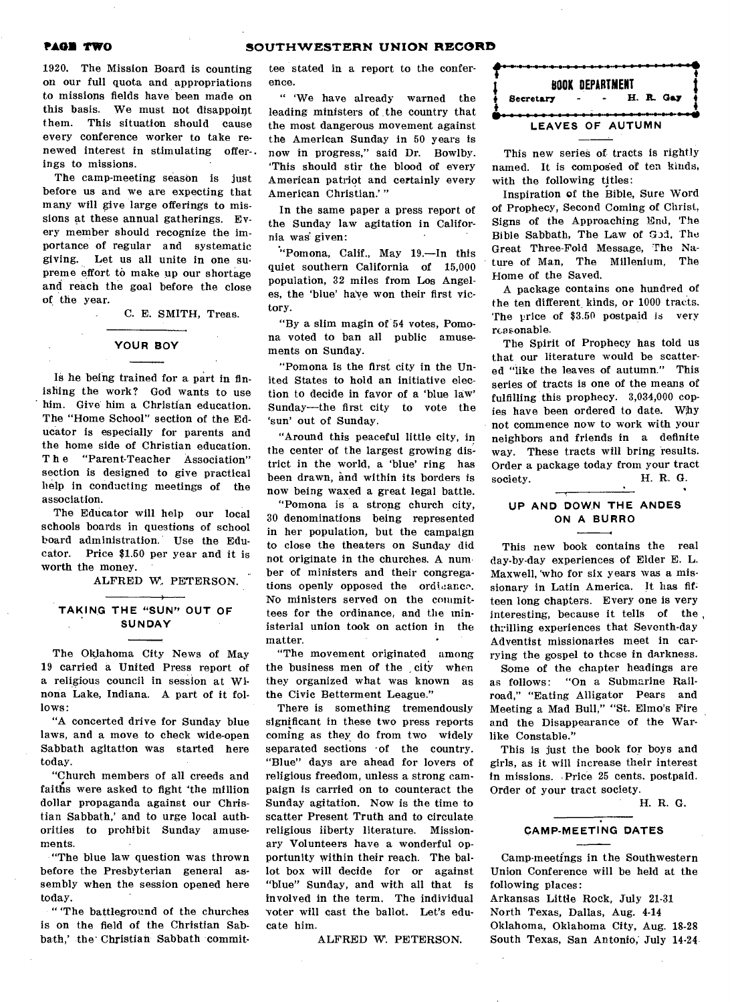1920. The Mission Board is counting on our full quota and appropriations to missions fields have been made on this basis. We must not disappoint them. This situation should cause every conference worker to take renewed interest in stimulating offerings to missions.

The camp-meeting season is just before us and we are expecting that many will give large offerings to missions at these annual gatherings. Every member should recognize the importance of regular and systematic giving. Let us all unite in one supreme effort to make up our shortage and reach the goal before the close of the year.

C. E. SMITH, Treas.

### **YOUR BOY**

Is he being trained for a part in finishing the work? God wants to use him. Give him a Christian education. The "Home School" section of the Educator is especially for parents and the home side of Christian education. T h e "Parent-Teacher Association" section is designed to give practical help in conducting meetings of the association.

The Educator will help our local schools boards in questions of school board administration. Use the Edu-<br>cator. Price \$1.50 per year and it is Price \$1.50 per year and it is worth the money.

ALFRED W. PETERSON.

### **TAKING THE "SUN" OUT OF SUNDAY**

The Oklahoma City News of May 19 carried a United Press report of a religious council in session at Winona Lake, Indiana. A part of it follows:

"A concerted drive for Sunday blue laws, and a move to check wide-open Sabbath agitation was started here today.

"Church members of all creeds and faiths were asked to fight 'the million dollar propaganda against our Christian Sabbath,' and to urge local authorities to prohibit Sunday amusements.

"The blue law question was thrown before the Presbyterian general assembly when the session opened here today.

"'The battleground of the churches is on the field of the Christian Sabbath,' the' Christian Sabbath committee stated in a report to the conference.

" 'We have already warned the leading ministers of the country that the most dangerous movement against the American Sunday in 50 years is now in progress," said Dr. Bowlby. 'This should stir the blood of every American patriot and certainly every American Christian.' "

In the same paper a press report of the Sunday law agitation in California was given:

"Pomona, Calif., May 19.—In this quiet southern California of 15,000 population, 32 miles from Los Angeles, the 'blue' haVe won their first victory.

"By a slim magin of 54 votes, Pomona voted to ban all public amusements on Sunday.

"Pomona is the first city in the United States to hold an initiative election to decide in favor of a 'blue law' Sunday—the first city to vote the 'sun' out of Sunday.

"Around this peaceful little city, in the center of the largest growing district in the world, a 'blue' ring has been drawn, and within its borders is now being waxed a great legal battle.

"Pomona is a strong church city, 30 denominations being represented in her population, but the campaign to close the theaters on Sunday did not originate in the churches. A num ber of ministers and their congregations openly opposed the ordinance. No ministers served on the committees for the ordinance, and the ministerial union took on action in the matter.

"The movement originated among the business men of the city when they organized what was known as the Civic Betterment League."

There is something tremendously significant in these two press reports coming as they do from two widely separated sections of the country. "Blue" days are ahead for lovers of religious freedom, unless a strong campaign is carried on to counteract the Sunday agitation. Now is the time to scatter Present Truth and to circulate religious iiberty literature. Missionary Volunteers have a wonderful opportunity within their reach. The ballot box will decide for or against "blue" Sunday, and with all that is involved in the term. The individual voter will cast the ballot. Let's educate him.

ALFRED W. PETERSON.



This new series of tracts is rightly named. It is composed of ten kinds, with the following titles:

Inspiration of the Bible, Sure Word of Prophecy, Second Coming of Christ. Signs of the Approaching End, The Bible Sabbath, The Law of G3d, The Great Three-Fold Message, The Nature of Man, The Millenium, The Home of the Saved.

A package contains one hundred of the ten different kinds, or 1000 tracts. The price of \$3.50 postpaid is very reasonable.

The Spirit of Prophecy has told us that our literature would be scattered "like the leaves of autumn." This series of tracts is one of the means of fulfilling this prophecy. 3,034,000 copies have been ordered to date. Why not commence now to work with your neighbors and friends in a definite way. These tracts will bring results. Order a package today from your tract society. **H. R. G.** 

### **UP AND DOWN THE ANDES ON A BURRO**

This new book contains the real day-by-day experiences of Elder E. L. Maxwell, 'who for six years was a missionary in Latin America. It has fifteen long chapters. Every one is very interesting, because it tells of the , thrilling experiences that Seventh-day Adventist missionaries meet in carrying the gospel to those in darkness.

Some of the chapter headings are as follows: "On a Submarine Railroad," "Eating Alligator Pears and Meeting a Mad Bull," "St. Elmo's Fire and the Disappearance of the Warlike Constable."

This is just the book for boys and girls, as it will increase their interest in missions. •Price 25 cents, postpaid. Order of your tract society.

H. **R.** G.

### **CAMP-MEETING DATES**

Camp-meetings in the Southwestern Union Conference will be held at the following places:

Arkansas Little Rock, July 21-31 North Texas, Dallas, Aug. 4-14 Oklahoma, Oklahoma City, Aug. 18-28 South Texas, San Antonio; July 14.24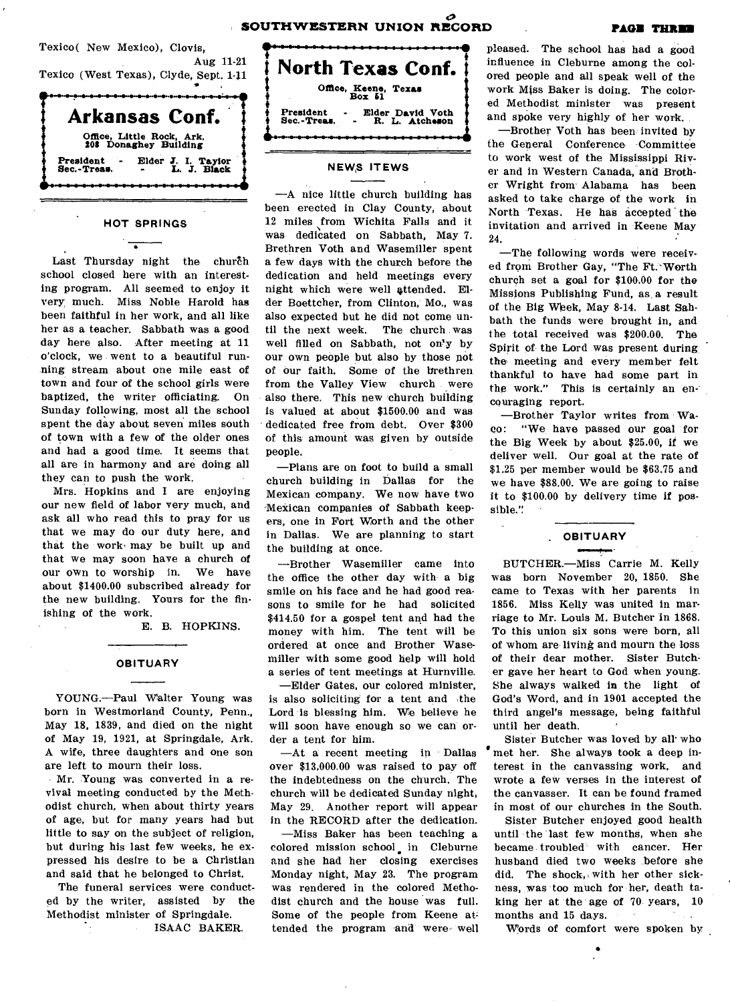**SOUTHWESTERN UNION RECORD PAGE THREE** 

Texico( New Mexico), Clovis,



### **HOT SPRINGS**

 $\overline{\phantom{0}}$ 

Last Thursday night the church school closed here with an interesting program. All seemed to enjoy it very, much. Miss Noble Harold has been faithful in her work, and all like her as a teacher. Sabbath was a good day here also. After meeting at 11 o'clock, we went to a beautiful running stream about one mile east of town and four of the school girls were baptized, the writer officiating. On Sunday following, most all the school spent the day about seven miles south of town with a few of the older ones and had a good time. It seems that all are in harmony and are doing all they can to push the work.

Mrs. Hopkins and I are enjoying our new field of labor very much, and ask all who read this to pray for us that we may do our duty here, and that the work may be built up and that we may soon have a church of our own to worship in. We have about \$1400.00 subscribed already for the new building. Yours for the finishing of the work.

E. B. HOPKINS.

### **OBITUARY**

YOUNG.—Paul Walter Young was born in Westmorland County, Penn., May 18, 1839, and died on the night of May 19, 1921, at Springdale, Ark. A wife, three daughters and one son are left to mourn their loss.

Mr. Young was converted in a revival meeting conducted by the Methodist church, when about thirty years of age, but for many years had but little to say on the subject of religion, but during his last few weeks, he expressed his desire to be a Christian and said that he belonged to Christ.

The funeral services were conduct. ed by the writer, assisted by the Methodist minister of Springdale. ISAAC BAKER.



### **NEWS IT EWS**

—A nice little church building has been erected in Clay County, about 12 miles from Wichita Falls and it was dedicated on Sabbath, May 7. Brethren Voth and Wasemiller spent a few days with the church before the dedication and held meetings every night which were well attended. Elder Boettcher, from Clinton, Mo., was also expected but he did not come until the next week. The church was well filled on Sabbath, not on'y by our own people but also by those not of our faith. Some of the brethren from the Valley View church were also there. This new church building is valued at about \$1500.00 and was dedicated free from debt. Over \$300 of this amount was given by outside people.

—Plans are on foot to build a small church building in Dallas for the Mexican company. We now have two Mexican companies of Sabbath keepers, one in Fort Worth and the other in Dallas. We are planning to start the building at once.

—Brother Wasemiller came into the office the other day with a big smile on his face and he had good reasons to smile for he had solicited \$414.50 for a gospel tent and had the money with him. The tent will be ordered at once and Brother Wasemiller with some good help will hold a series of tent meetings at Hurnville.

—Elder Gates, our colored minister, is also soliciting for a tent and the Lord is blessing him. We believe he will soon have enough so we can order a tent for him.

—At a recent meeting in Dallas over \$13,000.00 was raised to pay off the indebtedness on the church. The church will be dedicated Sunday night, May 29. Another report will appear in the RECORD after the dedication.

—Miss Baker has been teaching a colored mission school. in Cleburne and she had her closing exercises Monday night, May 23. The program was rendered in the colored Methodist church and the house was full. Some of the people from Keene attended the program and were well

pleased. The school has had a good influence in Cleburne among the colored people and all speak well of the work Miss Baker is doing. The colored Methodist minister was present and spoke very highly of her work.

—Brother Voth has been invited by the General Conference Committee to work west of the Mississippi River and in Western Canada, and Brother Wright from' Alabama has been asked to take charge of the work in North Texas. He has accepted the invitation and arrived in Keene May 24.

—The following words were received from Brother Gay, "The Ft. "Worth church set a goal for \$100.00 for the Missions Publishing Fund, as a result of the Big Week, May 8-14. Last Sabbath the funds were brought in, and the total received was \$200.00. The Spirit of the Lord was present during the meeting and every member felt thankful to have had some part in the work." This is certainly an encouraging report.

—Brother Taylor writes from Waco: "We have passed our goal for the Big Week by about \$25.00, if we deliver well. Our goal at the rate of \$1.25 per member would be \$63.75 and we have \$88.00. We are going to raise it to \$100.00 by delivery time if possible."

## **OBITUARY**

BUTCHER.—Miss Carrie M. Kelly was born November 20, 1850. She came to Texas with her parents in 1856. Miss Kelly was united in marriage to Mr. Louis M. Butcher in 1868. To this union six sons were born, all of whom are living and mourn the loss of their dear mother. Sister Butcher gave her heart to God when young. She always walked in the light of God's Word, and in 1901 accepted the third angel's message, being faithful until her death.

Sister Butcher was loved by all who met her. She always took a deep interest in the canvassing work, and wrote a few verses in the interest of the canvasser. It can be found framed in most of our churches in the South.

Sister Butcher enjoyed good health until the last few months, when she became troubled with cancer. Her husband died two weeks before she did. The shock, with her other sickness, was too much for her, death taking her at the age of 70 years, 10 months and 15 days.  $\sim$   $\alpha$ 

Words of comfort were spoken by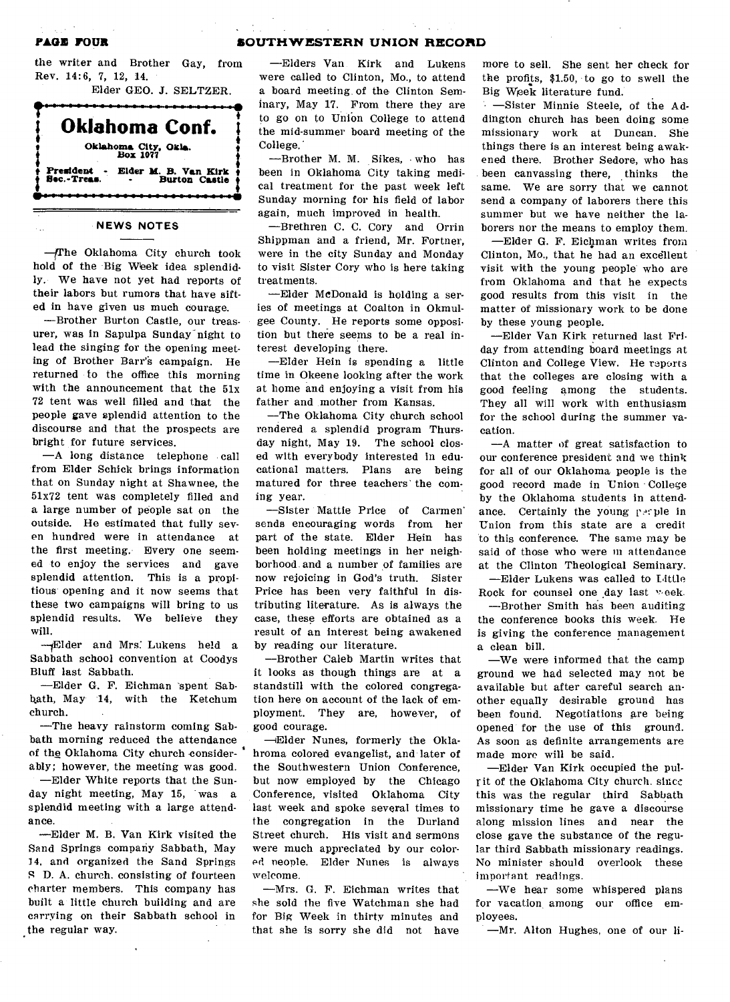the writer and Brother Gay, from Rev. 14:6, 7, 12, 14.

Elder GEO. J. SELTZER.



### **NEWS NOTES**

-The Oklahoma City church took hold of the Big Week idea splendidly. We have not yet had reports of their labors but rumors that have sifted in have given us much courage.

—Brother Burton Castle, our treasurer, was in Sapulpa Sunday-night to lead the singing for the opening meeting of Brother Barr'S campaign. He returned to the office this morning with the announcement that the 51x 72 tent was well filled and that the people gave splendid attention to the discourse and that the prospects are bright for future services.

—A long distance telephone call from Elder Schick brings information that on Sunday night at Shawnee, the 51x72 tent was completely filled and a large number of people sat on the outside. He estimated that fully seven hundred were in attendance at the first meeting. Every one seemed to enjoy the services and gave splendid attention. This is a propitious opening and it now seems that these two campaigns will bring to us splendid results. We believe they will.

-1Elder and Mrs: Lukens held a Sabbath school convention at Coodys Bluff last Sabbath.

—Elder G. F. Eichman 'spent Sabbath, May 14, with the Ketchum church.

—The heavy rainstorm coming Sabbath morning reduced the attendance of the Oklahoma City church considerably; however, the meeting was good.

—Elder White reports that the Sunday night meeting, May 15, was a splendid meeting with a large attendance.

—Elder M. B. Van Kirk visited the Sand Springs compariy Sabbath, May 14, and organized the Sand Springs S D. A. church, consisting of fourteen charter members. This company has built a little church building and are carrying on their Sabbath school in the regular way.

—Elders Van Kirk and Lukens were called to Clinton, Mo., to attend a board meeting of the Clinton Seminary, May 17. From there they are to go on to Union College to attend the mid-summer board meeting of the College.'

—Brother M. M. Sikes, • who has been in Oklahoma City taking medical treatment for the past week left Sunday morning for his field of labor again, much improved in health.

—Brethren C. C. Cory and Orrin Shippman and a friend, Mr. Fortner, were in the city Sunday and Monday to visit Sister Cory who is here taking treatments.

—Elder McDonald is holding a series of meetings at Coalton in Okmulgee County. He reports some opposition but there seems to be a real interest developing there.

—Elder Hein is spending a little time in Okeene looking after the work at home and enjoying a visit from his father and mother from Kansas.

—The Oklahoma City church school rendered a splendid program Thursday night, May 19. The school closed with everybody interested in educational matters. Plans are being matured for three teachers' the coming year.

—Sister Mattie Price of Carmen' sends encouraging words from her part of the state. Elder Hein has been holding meetings in her neighborhood, and a number of families are now rejoicing in God's truth. Sister Price has been very faithful in distributing literature. As is always the case, these efforts are obtained as a result of an interest being awakened by reading our literature.

—Brother Caleb Martin writes that it looks as though things are at a standstill with the colored congregation here on account of the lack of employment. They are, however, of good courage.

—Elder Nunes, formerly the Oklahroma colored evangelist, and later of the Southwestern Union Conference, but now employed by the Chicago Conference, visited Oklahoma City last week and spoke several times to the congregation in the Durland Street church. His visit and sermons were much appreciated by our colored people. Elder Nunes is always welcome.

—Mrs. G. F. Eichman writes that she sold the five Watchman she had for Big Week in thirty minutes and that she is sorry she did not have

more to sell. She sent her check for the profits, \$1.50, to go to swell the Big Week literature fund.

—Sister Minnie Steele, of the Addington church has been doing some missionary work at Duncan. She things there is an interest being awakened there. Brother Sedore, who has been canvassing there, thinks the same. We are sorry that we cannot send a company of laborers there this summer but we have neither the laborers nor the means to employ them.

—Elder G. F. Eichman writes from Clinton, Mo., that he had an excellent visit with the young people who are from Oklahoma and that he expects good results from this visit in the matter of missionary work to be done by these young people.

—Elder Van Kirk returned last Friday from attending board meetings at Clinton and College View. He reports that the colleges are closing with a good feeling among the students. They all will work with enthusiasm for the school during the summer vacation.

—A matter of great satisfaction to our conference president and we think for all of our Oklahoma people is the good record made in Union College by the Oklahoma students in attendance. Certainly the young people in Union from this state are a credit to this conference. The same may be said of those who were in attendance at the Clinton Theological Seminary.

—Elder Lukens was called to Little Rock for counsel one day last week.

 $-$ Brother Smith has been auditing the conference books this week. He is giving the conference management a clean bill.

—We were informed that the camp ground we had selected may not be available but after careful search another equally desirable ground has been found. Negotiations are being opened for the use of this ground. As soon as definite arrangements are made more will be said.

—Elder Van Kirk occupied the pulr it of the Oklahoma City church. since this was the regular third Sabbath missionary time he gave a discourse along mission lines and near the close gave the substance of the regular third Sabbath missionary readings. No minister should overlook these important readings.

—We hear some whispered plans for vacation among our office employees.

—Mr. Alton Hughes, one of our li-

### **PAGE POUR SOUTHWESTERN UNION RECORD**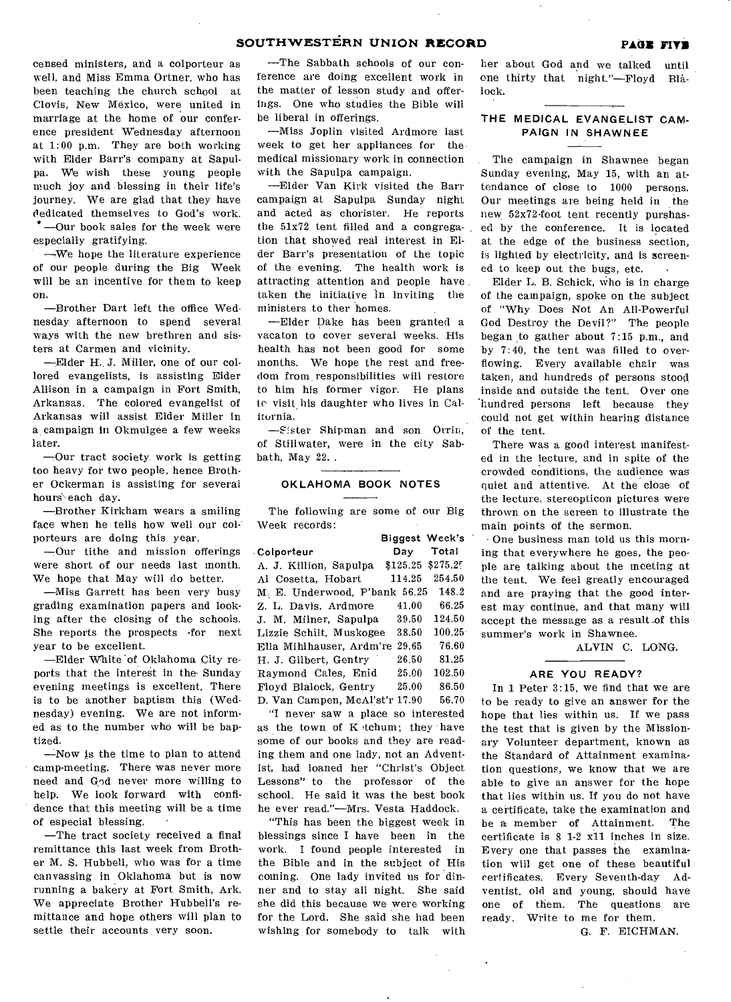### **SOUTHWESTERN UNION RECORD PAGE FIVE**

tensed ministers, and a colporteur as well, and Miss Emma Ortner, who has been teaching the church school at Clovis, New Mexico, were united in marriage at the home of our conference president Wednesday afternoon at 1:00 p.m. They are both working with Elder Barr's company at Sapulpa. We wish these young people much joy and blessing in their life's journey. We are glad that they have dedicated themselves to God's work. • —Our book sales for the week were especially gratifying.

—'We hope the literature experience of our people during the Big Week will be an incentive for them to keep on.

—Brother Dart left the office Wednesday afternoon to spend several ways with the new brethren and sisters at Carmen and vicinity.

—Elder H. J. Miller, one of our colbored evangelists, is assisting Elder Allison in a campaign in Fort Smith, Arkansas. The colored evangelist of Arkansas will assist Elder Miller in a campaign in Okmulgee a few weeks later.

—Our tract society work is getting too heavy for two people, hence Brother Ockerman is assisting for several hours\ each day.

—Brother Kirkham wears a smiling face when he tells how well our colporteurs are doing this year.

—Our tithe and mission offerings were short of our needs last month. We hope that May will do better.

—Miss Garrett has been very busy grading examination papers and looking after the closing of the schools. She reports the prospects -for next year to be excellent.

—Elder White of Oklahoma City reports that the interest in the Sunday evening meetings is excellent. There is to be another baptism this (Wednesday) evening. We are not inform. ed as to the number who will be baptized.

—Now is the time to plan to attend camp-meeting. There was never more need and God never more willing to help. We look forward with confidence that this meeting will be a time of especial blessing.

—The tract society received a final remittance this last week from Brother M. S. Hubbell, who was for a time canvassing in Oklahoma but is now running a bakery at Fort Smith, Ark. We appreciate Brother Hubbell's remittance and hope others will plan to settle their accounts very soon.

—The Sabbath schools of our conference are doing excellent work in the matter of lesson study and offerings. One who studies the Bible will be liberal in offerings.

—Miss Joplin visited Ardmore last week to get her appliances for the medical missionary work in connection with the Sapulpa campaign.

—Elder Van Kirk visited the Barr campaign at Sapulpa Sunday night and acted as chorister. He reports the 51x72 tent filled and a congregation that showed real interest in Elder Barr's presentation of the topic of the evening. The health work is attracting attention and people have taken the initiative in inviting the ministers to ther homes.

—Elder Dake has been granted a vacaton to cover several weeks. His health has not been good for some months. We hope the rest and freedom from responsibilities will restore to him his former vigor. He plans tc visit his daughter who lives in Calitornia.

—Efster Shipman and son Orrin, of Stillwater, were in the city Sabbath, May 22. .

### **OKLAHOMA BOOK NOTES**

The following are some of our Big Week records:

**Biggest** Week's **Colporteur Day Total**  A. J. Killion, Sapulpa \$125.25 \$275.2c. Al Cosetta, Hobart 114.25 254.50 M. E. Underwood, P'bank 56.25 148.2 Z. L. Davis, Ardmore 41.00 66.25 J. M. Milner, Sapulpa 39.50 124.50 Lizzie Schilt, Muskogee Ella Mihlhauser, Ardm're 29.65 76.60 H. J. Gilbert, Gentry 26.50 81.25<br>Raymond Cales, Enid 25.00 102.50 Raymond Cales, Enid Floyd Blalock, Gentry 25.00 86.50 D. Van Campen, McAl'st'r 17.90 56.70

"I never saw a place so interested as the town of K tchum; they have some of our books and they are reading them and one lady, not an Adventist, had loaned her "Christ's Object Lessons" to the professor of the school. He said it was the best book he ever read."—Mrs. Vesta Haddock.

"This has been the biggest week in blessings since I have been in the work. I found people interested in the Bible and in the subject of His coming. One lady invited us for dinner and to stay all night. She said she did this because we were working for the Lord. She said she had been wishing for somebody to talk with

her about God and we talked until one thirty that night."—Floyd Blalock.

### **THE MEDICAL EVANGELIST CAM-PAIGN IN SHAWNEE**

The campaign in Shawnee began Sunday evening, May 15, with an attendance of close to 1000 persons. Our meetings are being held in the new 52x72-foot tent recently purshased by the conference. It is located at the edge of the business section, is lighted by electricity, and is screened to keep out the bugs, etc.

Elder L. B. Schick, who is in charge of the campaign, spoke on the subject of "Why Does Not An All-Powerful God Destroy the Devil?" The people began to gather about 7:15 p.m., and by 7:40, the tent was filled to overflowing. Every available chair was taken, and hundreds of persons stood inside and outside the tent. Over one hundred persons left because they could not get within hearing distance of the tent.

There was a good interest manifested in the lecture, and in spite of the crowded conditions, the audience was quiet and attentive. At the close of the lecture, stereopticon pictures were thrown on the screen to illustrate the main points of the sermon.

One business man told us this morning that everywhere he goes, the people are talking about the meeting at the tent. We feel greatly encouraged and are praying that the good interest may continue, and that many will accept the message as a result of this summer's work in Shawnee.

ALVIN C. LONG.

### **ARE YOU READY?**

**In** 1 Peter 3:15, we find that we are to be ready to give an answer for the hope that lies within us. If we pass the test that is given by the Missionary Volunteer department, known as the Standard of Attainment examination questions, we know that we are able to give an answer for the hope that lies within us. If you do not have a certificate, take the examination and be a member of Attainment. The certificate is 8 1-2 x11 inches in size. Every one that passes the examination will get one of these beautiful certificates. Every Seventh-day Adventist, old and young, should have one of them. The questions are ready. Write to me for them.

G. F. EICHMAN.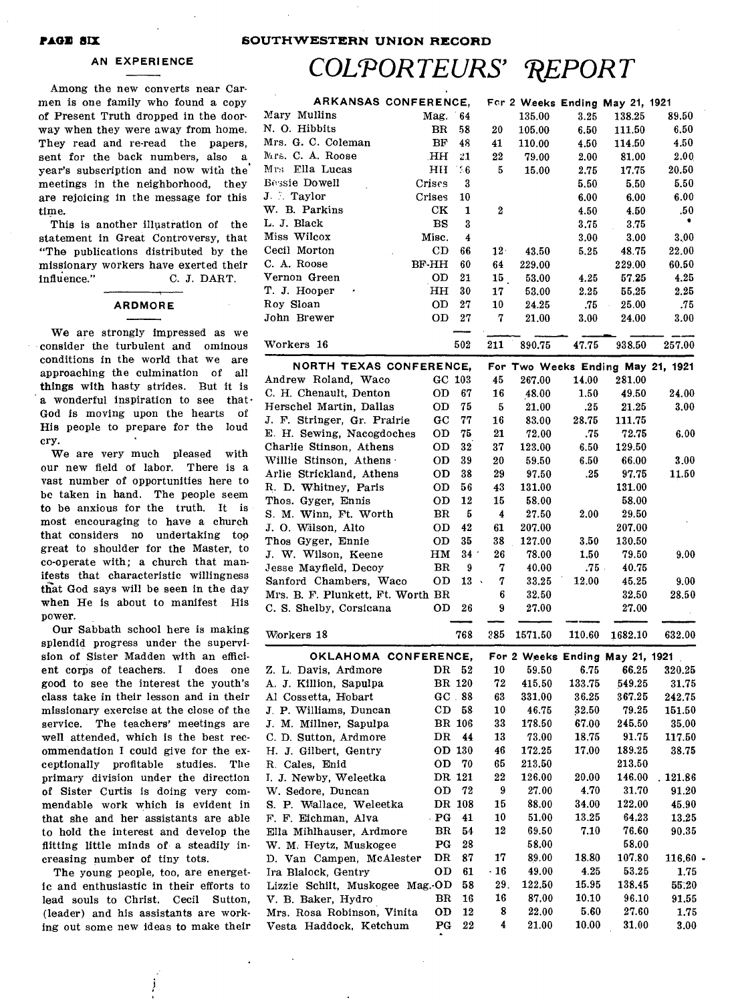### **AN EXPERIENCE**

Among the new converts near Carmen is one family who found a copy of Present Truth dropped in the doorway when they were away from home. They read and re-read the papers, sent for the back numbers, also a year's subscription and now with the meetings in the neighborhood, they are rejoicing in the message for this time.

This is another illustration of the statement in Great Controversy, that "The publications distributed by the missionary workers have exerted their influence." C. J. DART.

**ARDMORE** 

We are strongly impressed as we consider the turbulent and ominous conditions in the world that we are approaching the culmination of all things with hasty strides. But it is a wonderful inspiration to see that• God is moving upon the hearts of His people to prepare for the loud cry.

We are very much pleased with our new field of labor. There is a vast number of opportunities here to be taken in hand. The people seem to be anxious for the truth. It is most encouraging to have a church that considers no undertaking too great to shoulder for the Master, to co-operate with; a church that manifests that characteristic willingness that God says will be seen in the day when He is about to manifest His power.

Our Sabbath school here is making splendid progress under the supervision of Sister Madden with an efficient corps of teachers. I does one good to see the interest the youth's class take in their lesson and in their missionary exercise at the close of the service. The teachers' meetings are well attended, which is the best recommendation I could give for the exceptionally profitable studies. The primary division under the direction of Sister Curtis is doing very commendable work which is evident in that she and her assistants are able to hold the interest and develop the flitting little minds of a steadily increasing number of tiny tots.

The young people, too, are energetic and enthusiastic in their efforts to lead souls to Christ. Cecil Sutton, (leader) and his assistants are working out some new ideas to make their

### **PAGE SIX SOUTHWESTERN UNION RECORD**

# *COLPOR TEURS' REPORT*

| ARKANSAS CONFERENCE,<br>Mary Mullins |             |                         |            | For 2 Weeks Ending May 21, 1921   |         |         |          |  |
|--------------------------------------|-------------|-------------------------|------------|-----------------------------------|---------|---------|----------|--|
|                                      | Mag.        | 64                      |            | 135.00                            | 3.25    | 138.25  | 89.50    |  |
| N. O. Hibbits                        | $_{\rm BR}$ | 58                      | 20         | 105,00                            | 6.50    | 111.50  | 6.50     |  |
| Mrs. G. C. Coleman                   | BF          | 48                      | 41         | 110.00                            | 4.50    | 114.50  | 4.50     |  |
| Mrs. C. A. Roose                     | HH          | 21                      | 22         | 79.00                             | 2.00    | 81.00   | 2.00     |  |
| Mrs Ella Lucas                       | HH          | $\geq 6$                | 5          | 15.00                             | 2.75    | 17.75   | 20.50    |  |
| Bessie Dowell                        | Crises      | 3                       |            |                                   | 5.50    | 5.50    | 5.50     |  |
| J. Taylor                            | Crises      | 10                      |            |                                   | 6.00    | 6.00    | 6.00     |  |
| W. B. Parkins                        | CK          | 1                       | 2          |                                   | 4.50    | 4.50    | .50      |  |
| L. J. Black                          | $_{\rm BS}$ | 3                       |            |                                   | 3.75    | 3.75    | ٠        |  |
| Miss Wilcox                          | Misc.       | $\overline{\mathbf{4}}$ |            |                                   | 3.00    | 3.00    | 3,00     |  |
| Cecil Morton                         | CD          | 66                      | $12 -$     | 43.50                             | 5.25    | 48.75   | 22.00    |  |
| C. A. Roose<br>BF-HH                 |             | 60                      | 64         | 229.00                            |         | 229.00  | 60.50    |  |
| Vernon Green                         | OD          | 21                      | 15         | 53.00                             | 4.25    | 57.25   | 4.25     |  |
| T. J. Hooper                         | HН          | 30                      | 17         | 53.00                             | 2.25    | 55,25   | 2.25     |  |
| Roy Sloan                            | OD          | 27                      | 10         | 24.25                             | .75     | 25.00   | .75      |  |
| John Brewer                          | OD          | 27                      | 7          | 21.00                             | 3.00    | 24.00   | 3.00     |  |
|                                      |             |                         |            |                                   |         |         |          |  |
| Workers 16                           |             | 502                     | 211        | 890.75                            | 47.75   | 938.50  | 257.00   |  |
| NORTH TEXAS CONFERENCE,              |             |                         |            | For Two Weeks Ending May 21, 1921 |         |         |          |  |
| Andrew Roland, Waco                  |             | $GC$ 103                | 45         | 267.00                            | 14.00   | 281.00  |          |  |
| C. H. Chenault, Denton               | 0D          | 67                      | 16         | 48.00                             | 1.50    | 49.50   | 24.00    |  |
| Herschel Martin, Dallas              | OD          | 75                      | 5          | 21.00                             | .25     | 21.25   | 3.00     |  |
| J. F. Stringer, Gr. Prairie          | GC          | 77                      | 16         | 83.00                             | 28.75   | 111.75  |          |  |
| E. H. Sewing, Nacogdoches            | 0D          | 75                      | 21         | 72.00                             | .75     | 72.75   | 6.00     |  |
| Charlie Stinson, Athens              | OD          | 32                      | 37         | 123.00                            | 6.50    | 129.50  |          |  |
| Willie Stinson, Athens .             | OD.         | 39                      | 20         | 59.50                             | 6.50    | 66.00   | 3.00     |  |
| Arlie Strickland, Athens             | OD.         | 38                      | 29         | 97.50                             | .25     | 97.75   | 11.50    |  |
| R. D. Whitney, Paris                 | OD          | 56                      | 43         | 131.00                            |         | 131.00  |          |  |
|                                      | <b>OD</b>   | 12                      | 15         |                                   |         |         |          |  |
| Thos. Gyger, Ennis                   |             |                         |            | 58.00                             |         | 58.00   |          |  |
| S. M. Winn, Ft. Worth                | BR          | 5                       | 4          | 27.50                             | 2.00    | 29.50   |          |  |
| J. O. Wilson, Alto                   | OD          | 42                      | 61         | 207.00                            |         | 207.00  |          |  |
| Thos Gyger, Ennie                    | OD.         | 35                      | 38         | 127.00                            | 3.50    | 130.50  |          |  |
| J. W. Wilson, Keene                  | ΗМ          | 34                      | 26         | 78.00                             | 1.50    | 79.50   | 9.00     |  |
| Jesse Mayfield, Decoy                | $_{\rm BR}$ | 9                       | 7          | 40.00                             | $.75$ . | 40.75   |          |  |
| Sanford Chambers, Waco               | od          | $13 -$                  | 7          | 33.25                             | 12.00   | 45.25   | 9.00     |  |
| Mrs. B. F. Plunkett, Ft. Worth BR    |             |                         | 6          | 32.50                             |         | 32.50   | 28.50    |  |
| C. S. Shelby, Corsicana              | OD          | 26                      | 9          | 27.00                             |         | 27.00   |          |  |
| Workers 18                           |             | 768                     | 385        | 1571.50                           | 110.60  | 1682.10 | 632.00   |  |
| OKLAHOMA CONFERENCE,                 |             |                         |            | For 2 Weeks Ending May 21, 1921   |         |         |          |  |
| Z. L. Davis, Ardmore                 | DR          | 52                      | 10         | 59.50                             | 6.75    | 66.25   | 320.25   |  |
| A. J. Killion, Sapulpa               |             | BR 120                  | 72         | 415.50                            | 133.75  | 549.25  | 31.75    |  |
|                                      |             |                         |            |                                   | 36.25   |         |          |  |
| Al Cossetta, Hobart                  |             | $GC$ . 88               | 63         | 331.00                            |         | 367.25  | 242.75   |  |
| J. P. Williams, Duncan               | CD          | 58                      | 10         | 46.75                             | 32.50   | 79.25   | 151.50   |  |
| J. M. Millner, Sapulpa               |             | <b>BR</b> 106           | 33         | 178.50                            | 67.00   | 245.50  | 35.00    |  |
| C. D. Sutton, Ardmore                | $_{\rm DR}$ | 44                      | 13         | 73.00                             | 18.75   | 91.75   | 117.50   |  |
| H. J. Gilbert, Gentry                |             | OD 130                  | 46         | 172.25                            | 17.00   | 189.25  | 38.75    |  |
| R. Cales, Enid                       | OD          | 70                      | 65         | 213.50                            |         | 213.50  |          |  |
| I. J. Newby, Weleetka                |             | DR 121                  | 22         | 126.00                            | 20.00   | 146.00  | . 121.86 |  |
| W. Sedore, Duncan                    | <b>OD</b>   | 72                      | 9          | 27.00                             | 4.70    | 31.70   | 91.20    |  |
| S. P. Wallace, Weleetka              |             | DR 108                  | 15         | 88.00                             | 34.00   | 122.00  | 45.90    |  |
| F. F. Eichman, Alva                  | $\cdot$ PG  | 41                      | 10         | 51.00                             | 13.25   | 64.23   | 13.25    |  |
| Ella Mihlhauser, Ardmore             | $_{\rm BR}$ | 54                      | 12         | 69.50                             | 7.10    | 76.60   | 90.35    |  |
| W. M. Heytz, Muskogee                | $_{\rm PG}$ | 28                      |            | 58.00                             |         | 58.00   |          |  |
| D. Van Campen, McAlester             | DR          | 87                      | 17         | 89.00                             | 18.80   | 107.80  | 116.60 - |  |
| Ira Blalock, Gentry                  | 0D          | 61                      | $\cdot$ 16 | 49.00                             | 4.25    | 53.25   | 1.75     |  |
| Lizzie Schilt, Muskogee Mag.-OD      |             | 58                      | 29.        | 122.50                            | 15.95   | 138.45  | 55.20    |  |
| V. B. Baker, Hydro                   | $_{\rm BR}$ | 16                      | 16         | 87.00                             | 10.10   | 96.10   | 91.55    |  |
| Mrs. Rosa Robinson, Vinita           | OD          | 12                      | 8          | 22.00                             | 5.60    | 27.60   | 1.75     |  |
| Vesta Haddock, Ketchum               | $_{\rm PG}$ | 22                      | 4          | 21.00                             | 10.00   | 31.00   | 3.00     |  |
|                                      |             |                         |            |                                   |         |         |          |  |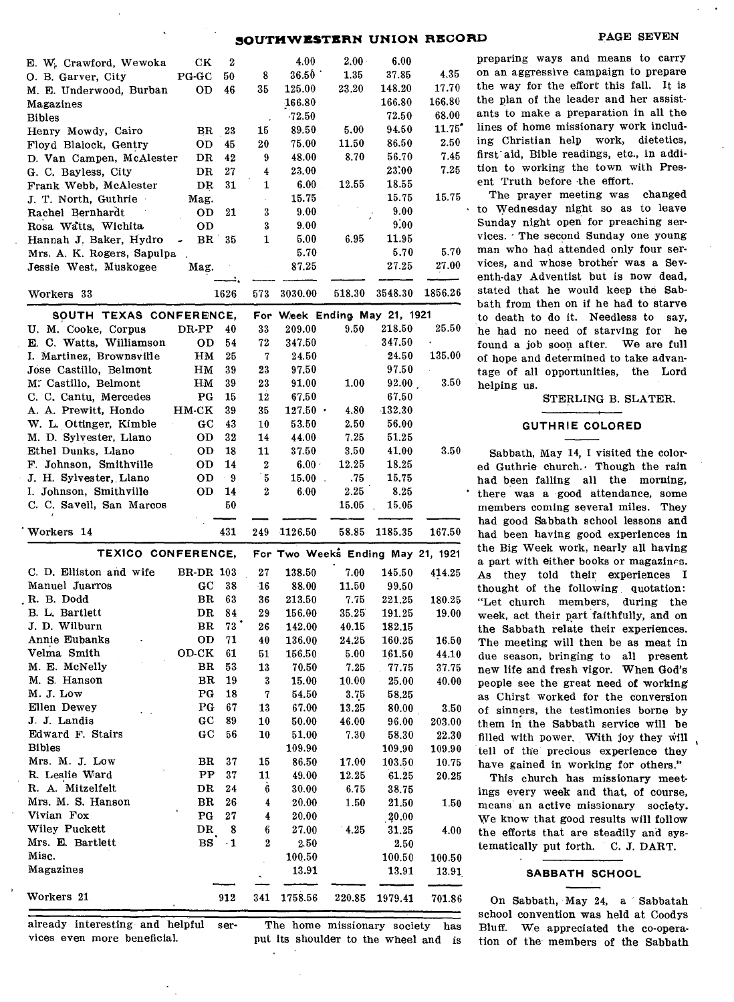### **SOUTHWESTERN UNION RECORD PAGE SEVEN**

| E. W. Crawford, Wewoka     | CК               | 2       |                  | 4.00                              | 2.00 <sub>1</sub> | 6.00                  |         |
|----------------------------|------------------|---------|------------------|-----------------------------------|-------------------|-----------------------|---------|
| O. B. Garver, City         | PG-GC            | 50      | 8                | 36.50                             | 1.35              | 37.85                 | 4.35    |
| M. E. Underwood, Burban    | 0D               | 46      | 35               | 125.00                            | 23.20             | 148.20                | 17.70   |
|                            |                  |         |                  | 166.80                            |                   | 166.80                | 166.80  |
| Magazines                  |                  |         |                  | $-72.50$                          |                   | 72.50                 | 68.00   |
| <b>Bibles</b>              |                  |         |                  | 89.50                             | 5.00              | 94.50                 | 11.75   |
| Henry Mowdy, Cairo         | BR               | 23      | 15               |                                   | 11.50             | 86.50                 | 2.50    |
| Floyd Blalock, Gentry      | 0D               | 45      | 20               | 75.00                             |                   |                       |         |
| D. Van Campen, McAlester   | DR               | 42      | 9                | 48.00                             | 8.70              | 56.70                 | 7.45    |
| G. C. Bayless, City        | DR.              | $^{27}$ | 4                | 23.00                             |                   | 23.00                 | 7.25    |
| Frank Webb, McAlester      | DR               | 31      | 1                | 6.00                              | 12.55             | 18.55                 |         |
| J. T. North, Guthrie       | Mag.             |         | k,               | 15.75                             |                   | 15.75                 | 15.75   |
| Rachel Bernhardt           | OD               | 21      | 3                | 9.00                              |                   | 9.00                  |         |
| Rosa Watts, Wichita        | od               |         | 3                | 9.00                              |                   | 9.00                  |         |
| Hannah J. Baker, Hydro     | $B_{\rm R}$      | 35      | 1                | 5.00                              | 6.95              | 11.95                 |         |
| Mrs. A. K. Rogers, Sapulpa |                  |         |                  | 5.70                              |                   | 5.70                  | 5.70    |
| Jessie West, Muskogee      | Mag.             |         |                  | 87.25                             |                   | 27.25                 | 27.00   |
|                            |                  |         |                  |                                   |                   |                       |         |
| Workers 33                 |                  | 1626    | 573              | 3030.00                           | 518.30            | 3548.30               | 1856.26 |
| SOUTH TEXAS CONFERENCE,    |                  |         |                  | For Week Ending May 21, 1921      |                   |                       |         |
| U. M. Cooke, Corpus        | DR-PP            | 40      | 33               | 209.00                            | 9.50              | $\boldsymbol{218.50}$ | 25.50   |
| E. C. Watts, Williamson    | OD               | 54      | 72               | 347.50                            |                   | 347.50                |         |
| I. Martinez, Brownsville   | HМ               | 25      | 7                | 24.50                             |                   | 24.50                 | 135.00  |
| Jose Castillo, Belmont     | HM               | 39      | 23               | 97.50                             |                   | 97.50                 |         |
| M. Castillo, Belmont       | HM               | 39      | 23               | 91.00                             | 1.00              | 92.00                 | 3.50    |
| C. C. Cantu, Mercedes      | PG               | 15      | 12               | 67.50                             |                   | 67.50                 |         |
| A. A. Prewitt, Hondo       | HM-CK            | 39      | 35               | $127.50$ $\cdot$                  | 4.80              | 132.30                |         |
| W. L. Ottinger, Kimble     | GC               | 43      | 10               | 53.50                             | 2.50              | 56.00                 |         |
| M. D. Sylvester, Llano     | OD               | 32      | 14               | 44.00                             | 7.25              | 51.25                 |         |
| Ethel Dunks, Llano         | OD               | 18      | 11               | 37.50                             | 3.50              | 41.00                 | 3.50    |
| F. Johnson, Smithville     | OD               | 14      | 2                | $6.00 -$                          | 12.25             | 18.25                 |         |
| J. H. Sylvester, Llano     | OD               | - 9     | 5                | 15.00<br>$\ddot{\phantom{a}}$     | .75               | 15.75                 |         |
|                            |                  |         | $\bf{2}$         |                                   |                   |                       |         |
| I. Johnson, Smithville     | OD               | 14      |                  | 6.00                              | 2.25              | 8.25                  |         |
| C. C. Savell, San Marcos   |                  | 50      |                  |                                   | 15.05             | 15,05                 |         |
| Workers 14                 |                  | 431     | 249              | 1126.50                           | 58.85             | 1185.35               | 167.50  |
| TEXICO CONFERENCE,         |                  |         |                  | For Two Weeks Ending May 21, 1921 |                   |                       |         |
|                            |                  |         |                  |                                   |                   |                       |         |
| C. D. Elliston and wife    | <b>BR-DR 103</b> |         | 27               | 138.50                            | 7.00              | 145.50                | 414.25  |
| Manuel Juarros             | GC               | 38      | -16              | 88.00                             | 11.50             | 99.50                 |         |
| R. B. Dodd                 | $_{\rm BR}$      | 63      | 36               | 213.50                            | 7.75              | 221.25                | 180.25  |
| B. L. Bartlett             | DR               | 84      | 29               | 156.00                            | 35.25             | 191.25                | 19.00   |
| J. D. Wilburn              | $_{\rm BR}$      | 73      | 26               | 142.00                            | 40.15             | 182.15                |         |
| Annie Eubanks              | OD               | 71      | 40               | 136.00                            | 24.25             | 160.25                | 16.50   |
| Velma Smith                | OD-CK            | 61      | 51               | 156.50                            | 5.00              | 161.50                | 44.10   |
| M. E. McNelly              | BR               | 53      | 13               | 70.50                             | 7.25              | 77.75                 | 37.75   |
| M. S. Hanson               | $_{\rm BR}$      | 19      | 3                | ${\bf 15.00}$                     | 10.00             | 25.00                 | 40.00   |
| M. J. Low                  | $_{\rm PG}$      | 18      | 7                | 54.50                             | 3.75              | 58.25                 |         |
| Ellen Dewey                | $_{\rm PG}$      | 67      | 13               | 67.00                             | 13.25             | 80.00                 | 3.50    |
| J. J. Landis               | GC               | 89      | 10               | 50.00                             | 46.00             | 96.00                 | 203.00  |
| Edward F. Stairs           |                  |         | 10               | 51.00                             |                   |                       | 22.30   |
| <b>Bibles</b>              |                  |         |                  |                                   |                   |                       |         |
|                            | GC               | 56      |                  |                                   | 7.30              | 58.30                 |         |
|                            |                  |         |                  | 109.90                            |                   | 109.90                | 109.90  |
| Mrs. M. J. Low             | BR               | 37      | 15               | 86.50                             | 17.00             | 103.50                | 10.75   |
| R. Leslie Ward             | РP               | 37      | 11               | 49.00                             | 12.25             | 61.25                 | 20.25   |
| R. A. Mitzelfelt           | DR               | 24      | $\bf 6$          | 30.00                             | 6.75              | 38.75                 |         |
| Mrs. M. S. Hanson          | $_{\rm BR}$      | 26      | 4                | 20.00                             | 1.50              | 21.50                 | 1.50    |
| Vivian Fox                 | $_{\rm PG}$      | 27      | 4                | 20.00                             |                   | 20.00                 |         |
| Wiley Puckett              | DR               | 8       | 6                | 27.00                             | 4.25              | 31.25                 | 4.00    |
| Mrs. E. Bartlett           | BS               | $-1$    | $\boldsymbol{2}$ | 2.50                              |                   | 2.50                  |         |
| Misc.                      |                  |         |                  | 100.50                            |                   | 100.50                | 100.50  |
| Magazines                  |                  |         |                  | 13.91                             |                   | 13.91                 | 13.91   |
| Workers 21                 |                  | 912     | 341              | 1758.56                           | 220.85            | 1979.41               | 701.86  |

already interesting and helpful ser-<br>vices even more beneficial. The home missionary society has<br>vices even more beneficial. The nut its shoulder to the wheel and is

put its shoulder to the wheel and is

preparing ways and means to carry on an aggressive campaign to prepare the way for the effort this fall. It is the plan of the leader and her assistants to make a preparation in all the lines of home missionary work including Christian help work, dietetics, first aid, Bible readings, etc., in addition to working the town with Present Truth before -the effort.

The prayer meeting was changed to Wednesday night so as to leave Sunday night open for preaching services. The second Sunday one young man who had attended only four services, and whose brother was a Seventh-day Adventist but is now dead, stated that he would keep the Sabbath from then on if he had to starve to death to do it. Needless to say, he had no need of starving for he found a job soon after. We are full of hope and determined to take advantage of all opportunities, the Lord helping us.

STERLING B. SLATER.

### **GUTHRIE COLORED**

Sabbath, May 14, I visited the colored Guthrie church.• Though the rain had been falling all the morning, there was a good attendance, some members coming several miles. They had good Sabbath school lessons **and**  had been having good experiences **in**  the Big Week work, nearly all having a part with either books or magazines. As they told their experiences I thought of the following quotation: "Let church members, during the week, act their part faithfully, and on the Sabbath relate their experiences. The meeting will then be as meat in due season, bringing to all present new life and fresh vigor. When God's people see the great need of working as Chirst worked for the conversion of sinners, the testimonies borne by them in the Sabbath service will be filled with power. With joy they will tell of the precious experience they have gained in working for others."

This church has missionary meetings every week and that, of course, means an active missionary society. We know that good results will follow the efforts that are steadily and systematically put forth. C. J. DART.

### **SABBATH SCHOOL**

On Sabbath, May 24, a Sabbatah school convention was held at Coodys Bluff. We appreciated the co-operation of the members of the Sabbath